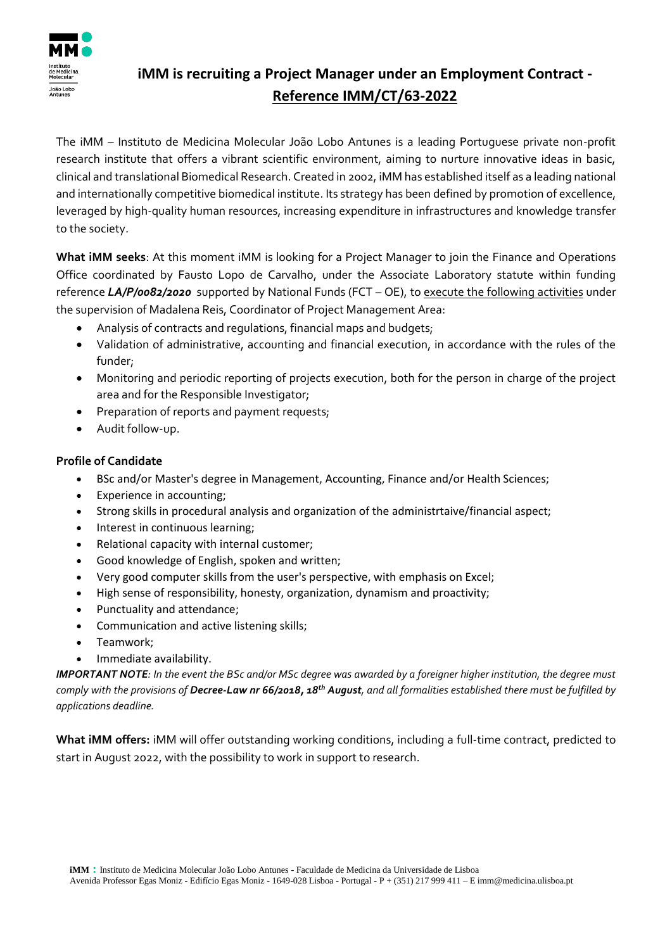

## **iMM is recruiting a Project Manager under an Employment Contract - Reference IMM/CT/63-2022**

The iMM – Instituto de Medicina Molecular João Lobo Antunes is a leading Portuguese private non-profit research institute that offers a vibrant scientific environment, aiming to nurture innovative ideas in basic, clinical and translational Biomedical Research. Created in 2002, iMM has established itself as a leading national and internationally competitive biomedical institute. Its strategy has been defined by promotion of excellence, leveraged by high-quality human resources, increasing expenditure in infrastructures and knowledge transfer to the society.

**What iMM seeks**: At this moment iMM is looking for a Project Manager to join the Finance and Operations Office coordinated by Fausto Lopo de Carvalho, under the Associate Laboratory statute within funding reference *LA/P/0082/2020* supported by National Funds (FCT – OE), to execute the following activities under the supervision of Madalena Reis, Coordinator of Project Management Area:

- Analysis of contracts and regulations, financial maps and budgets;
- Validation of administrative, accounting and financial execution, in accordance with the rules of the funder;
- Monitoring and periodic reporting of projects execution, both for the person in charge of the project area and for the Responsible Investigator;
- Preparation of reports and payment requests;
- Audit follow-up.

## **Profile of Candidate**

- BSc and/or Master's degree in Management, Accounting, Finance and/or Health Sciences;
- Experience in accounting;
- Strong skills in procedural analysis and organization of the administrtaive/financial aspect;
- Interest in continuous learning;
- Relational capacity with internal customer;
- Good knowledge of English, spoken and written;
- Very good computer skills from the user's perspective, with emphasis on Excel;
- High sense of responsibility, honesty, organization, dynamism and proactivity;
- Punctuality and attendance;
- Communication and active listening skills;
- Teamwork;
- Immediate availability.

*IMPORTANT NOTE: In the event the BSc and/or MSc degree was awarded by a foreigner higher institution, the degree must comply with the provisions of Decree-Law nr 66/2018, 18th August, and all formalities established there must be fulfilled by applications deadline.*

**What iMM offers:** iMM will offer outstanding working conditions, including a full-time contract, predicted to start in August 2022, with the possibility to work in support to research.